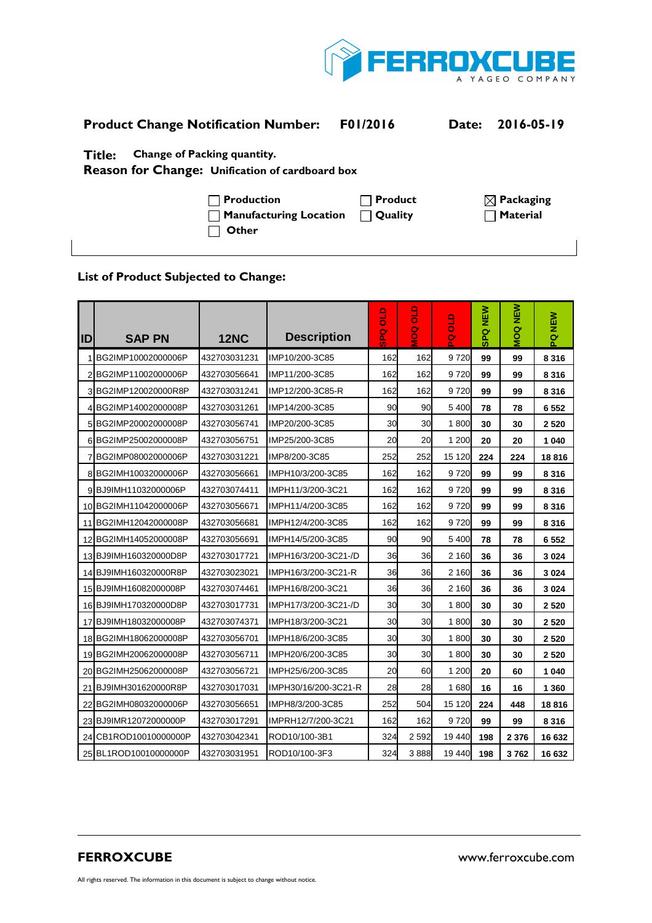

| <b>Product Change Notification Number:</b>                                               | <b>F01/2016</b> | Date: 2016-05-19      |
|------------------------------------------------------------------------------------------|-----------------|-----------------------|
| Change of Packing quantity.<br>Title:<br>Reason for Change: Unification of cardboard box |                 |                       |
| $\Box$ Production                                                                        | Product         | $\boxtimes$ Packaging |

**Manufacturing Location Quality Material Material Material CO** 

## **List of Product Subjected to Change:**

 **Other** 

| IID            | <b>SAP PN</b>         | <b>12NC</b>  | <b>Description</b>   | $\frac{1}{10}$<br>o<br>S<br>S | <b>OTO</b><br>$\frac{8}{5}$ | $rac{1}{10}$<br>g | NEW<br><b>SPQ</b> | NEW<br><b>DOM</b> | PQ NEW  |
|----------------|-----------------------|--------------|----------------------|-------------------------------|-----------------------------|-------------------|-------------------|-------------------|---------|
|                | BG2IMP10002000006P    | 432703031231 | IMP10/200-3C85       | 162                           | 162                         | 9720              | 99                | 99                | 8 3 1 6 |
| $\overline{2}$ | BG2IMP11002000006P    | 432703056641 | IMP11/200-3C85       | 162                           | 162                         | 9720              | 99                | 99                | 8 3 1 6 |
|                | 3 BG2IMP120020000R8P  | 432703031241 | IMP12/200-3C85-R     | 162                           | 162                         | 9720              | 99                | 99                | 8 3 1 6 |
|                | 4BG2IMP14002000008P   | 432703031261 | IMP14/200-3C85       | 90                            | 90                          | 5 4 0 0           | 78                | 78                | 6 5 5 2 |
| 5 <sub>l</sub> | BG2IMP20002000008P    | 432703056741 | IMP20/200-3C85       | 30                            | 30                          | 1800              | 30                | 30                | 2 5 20  |
|                | 6 BG2IMP25002000008P  | 432703056751 | IMP25/200-3C85       | 20                            | 20                          | 1 200             | 20                | 20                | 1 0 4 0 |
|                | BG2IMP08002000006P    | 432703031221 | IMP8/200-3C85        | 252                           | 252                         | 15 1 20           | 224               | 224               | 18816   |
| 8              | BG2IMH10032000006P    | 432703056661 | IMPH10/3/200-3C85    | 162                           | 162                         | 9720              | 99                | 99                | 8 3 1 6 |
|                | 9BJ9IMH11032000006P   | 432703074411 | IMPH11/3/200-3C21    | 162                           | 162                         | 9720              | 99                | 99                | 8 3 1 6 |
|                | 10 BG2IMH11042000006P | 432703056671 | IMPH11/4/200-3C85    | 162                           | 162                         | 9720              | 99                | 99                | 8 3 1 6 |
| 11             | BG2IMH12042000008P    | 432703056681 | IMPH12/4/200-3C85    | 162                           | 162                         | 9720              | 99                | 99                | 8 3 1 6 |
|                | 12 BG2IMH14052000008P | 432703056691 | IMPH14/5/200-3C85    | 90                            | 90 <sup>°</sup>             | 5 4 0 0           | 78                | 78                | 6 5 5 2 |
|                | 13 BJ9IMH160320000D8P | 432703017721 | IMPH16/3/200-3C21-/D | 36                            | 36                          | 2 1 6 0           | 36                | 36                | 3 0 24  |
| 14             | BJ9IMH160320000R8P    | 432703023021 | IMPH16/3/200-3C21-R  | 36                            | 36                          | 2 1 6 0           | 36                | 36                | 3 0 24  |
|                | 15 BJ9IMH16082000008P | 432703074461 | IMPH16/8/200-3C21    | 36                            | 36                          | 2 1 6 0           | 36                | 36                | 3 0 24  |
|                | 16 BJ9IMH170320000D8P | 432703017731 | IMPH17/3/200-3C21-/D | 30                            | 30                          | 1800              | 30                | 30                | 2 5 2 0 |
| 17             | BJ9IMH18032000008P    | 432703074371 | IMPH18/3/200-3C21    | 30                            | 30                          | 1800              | 30                | 30                | 2 5 2 0 |
|                | 18 BG2IMH18062000008P | 432703056701 | IMPH18/6/200-3C85    | 30                            | 30                          | 1800              | 30                | 30                | 2 5 20  |
|                | 19 BG2IMH20062000008P | 432703056711 | IMPH20/6/200-3C85    | 30                            | 30                          | 1800              | 30                | 30                | 2 5 2 0 |
| 20             | BG2IMH25062000008P    | 432703056721 | IMPH25/6/200-3C85    | 20                            | 60                          | 1 200             | 20                | 60                | 1040    |
|                | 21 BJ9IMH301620000R8P | 432703017031 | IMPH30/16/200-3C21-R | 28                            | 28                          | 1680              | 16                | 16                | 1 3 6 0 |
| 22             | BG2IMH08032000006P    | 432703056651 | IMPH8/3/200-3C85     | 252                           | 504                         | 15 120            | 224               | 448               | 18816   |
| 23             | BJ9IMR12072000000P    | 432703017291 | IMPRH12/7/200-3C21   | 162                           | 162                         | 9720              | 99                | 99                | 8 3 1 6 |
|                | 24 CB1ROD10010000000P | 432703042341 | ROD10/100-3B1        | 324                           | 2592                        | 19 440            | 198               | 2 3 7 6           | 16 632  |
|                | 25 BL1ROD10010000000P | 432703031951 | ROD10/100-3F3        | 324                           | 3888                        | 19 440            | 198               | 3762              | 16 632  |